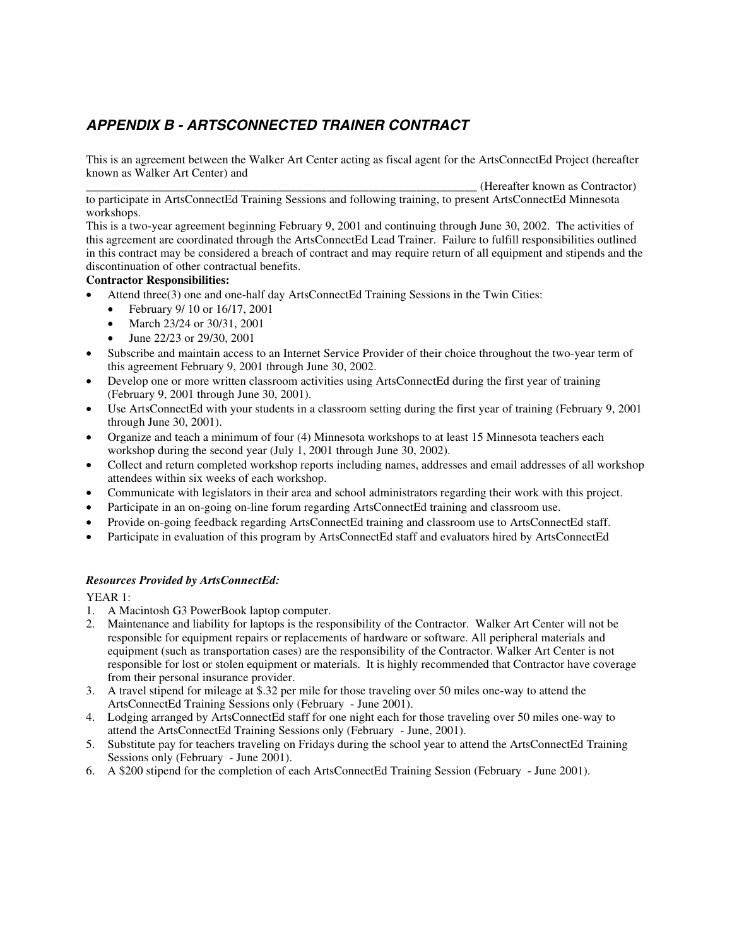# *APPENDIX B - ARTSCONNECTED TRAINER CONTRACT*

This is an agreement between the Walker Art Center acting as fiscal agent for the ArtsConnectEd Project (hereafter known as Walker Art Center) and

\_\_\_\_\_\_\_\_\_\_\_\_\_\_\_\_\_\_\_\_\_\_\_\_\_\_\_\_\_\_\_\_\_\_\_\_\_\_\_\_\_\_\_\_\_\_\_\_\_\_\_\_\_\_\_\_\_\_\_\_\_\_\_\_\_ (Hereafter known as Contractor) to participate in ArtsConnectEd Training Sessions and following training, to present ArtsConnectEd Minnesota workshops.

This is a two-year agreement beginning February 9, 2001 and continuing through June 30, 2002. The activities of this agreement are coordinated through the ArtsConnectEd Lead Trainer. Failure to fulfill responsibilities outlined in this contract may be considered a breach of contract and may require return of all equipment and stipends and the discontinuation of other contractual benefits.

## **Contractor Responsibilities:**

- Attend three(3) one and one-half day ArtsConnectEd Training Sessions in the Twin Cities:
	- February 9/ 10 or 16/17, 2001
	- March 23/24 or 30/31, 2001
	- June 22/23 or 29/30, 2001
- Subscribe and maintain access to an Internet Service Provider of their choice throughout the two-year term of this agreement February 9, 2001 through June 30, 2002.
- Develop one or more written classroom activities using ArtsConnectEd during the first year of training (February 9, 2001 through June 30, 2001).
- Use ArtsConnectEd with your students in a classroom setting during the first year of training (February 9, 2001) through June 30, 2001).
- Organize and teach a minimum of four (4) Minnesota workshops to at least 15 Minnesota teachers each workshop during the second year (July 1, 2001 through June 30, 2002).
- Collect and return completed workshop reports including names, addresses and email addresses of all workshop attendees within six weeks of each workshop.
- Communicate with legislators in their area and school administrators regarding their work with this project.
- Participate in an on-going on-line forum regarding ArtsConnectEd training and classroom use.
- Provide on-going feedback regarding ArtsConnectEd training and classroom use to ArtsConnectEd staff.
- Participate in evaluation of this program by ArtsConnectEd staff and evaluators hired by ArtsConnectEd

## *Resources Provided by ArtsConnectEd:*

YEAR 1:

- 1. A Macintosh G3 PowerBook laptop computer.
- 2. Maintenance and liability for laptops is the responsibility of the Contractor. Walker Art Center will not be responsible for equipment repairs or replacements of hardware or software. All peripheral materials and equipment (such as transportation cases) are the responsibility of the Contractor. Walker Art Center is not responsible for lost or stolen equipment or materials. It is highly recommended that Contractor have coverage from their personal insurance provider.
- 3. A travel stipend for mileage at \$.32 per mile for those traveling over 50 miles one-way to attend the ArtsConnectEd Training Sessions only (February - June 2001).
- 4. Lodging arranged by ArtsConnectEd staff for one night each for those traveling over 50 miles one-way to attend the ArtsConnectEd Training Sessions only (February - June, 2001).
- 5. Substitute pay for teachers traveling on Fridays during the school year to attend the ArtsConnectEd Training Sessions only (February - June 2001).
- 6. A \$200 stipend for the completion of each ArtsConnectEd Training Session (February June 2001).